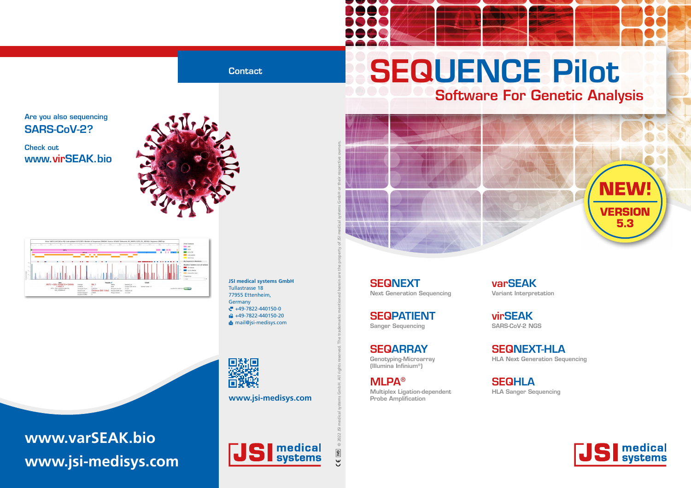# SEQUENCE Pilot Software For Genetic Analysis

**SEQNEXT** Next Generation Sequencing

**SEQPATIENT** Sanger Sequencing

**SEQARRAY** Genotyping-Microarray (Illumina Infinium®)

MLPA®

Multiplex Ligation-dependent

**SEQHLA** HLA Sanger Sequencing

Probe Amplification

### SEQNEXT-HLA

HLA Next Generation Sequencing



virSEAK SARS-CoV-2 NGS

varSEAK Variant Interpretation

**JSI medical systems GmbH** Tullastrasse 18 77955 Ettenheim, Germany  $\mathbb{F}$  +49-7822-440150-0 **fa** +49-7822-440150-20 mail@jsi-medisys.com



### **Contact**

### Are you also sequencing SARS-CoV-2?

Check out www.virSEAK.bio









**www.jsi-medisys.com**

## **www.varSEAK.bio www.jsi-medisys.com**



 $C \in \boxed{VD}$